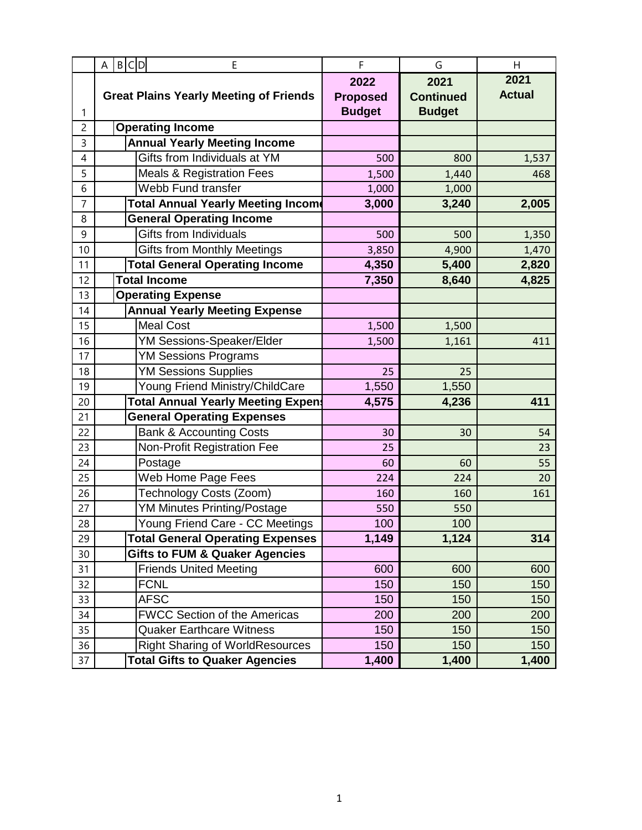|                | B C D<br>E<br>A                               | F               | G                | Η             |
|----------------|-----------------------------------------------|-----------------|------------------|---------------|
|                |                                               | 2022            | 2021             | 2021          |
|                | <b>Great Plains Yearly Meeting of Friends</b> | <b>Proposed</b> | <b>Continued</b> | <b>Actual</b> |
| 1              |                                               | <b>Budget</b>   | <b>Budget</b>    |               |
| $\overline{c}$ | <b>Operating Income</b>                       |                 |                  |               |
| 3              | <b>Annual Yearly Meeting Income</b>           |                 |                  |               |
| 4              | Gifts from Individuals at YM                  | 500             | 800              | 1,537         |
| 5              | <b>Meals &amp; Registration Fees</b>          | 1,500           | 1,440            | 468           |
| 6              | Webb Fund transfer                            | 1,000           | 1,000            |               |
| $\overline{7}$ | Total Annual Yearly Meeting Income            | 3,000           | 3,240            | 2,005         |
| 8              | <b>General Operating Income</b>               |                 |                  |               |
| 9              | Gifts from Individuals                        | 500             | 500              | 1,350         |
| 10             | <b>Gifts from Monthly Meetings</b>            | 3,850           | 4,900            | 1,470         |
| 11             | <b>Total General Operating Income</b>         | 4,350           | 5,400            | 2,820         |
| 12             | <b>Total Income</b>                           | 7,350           | 8,640            | 4,825         |
| 13             | <b>Operating Expense</b>                      |                 |                  |               |
| 14             | <b>Annual Yearly Meeting Expense</b>          |                 |                  |               |
| 15             | <b>Meal Cost</b>                              | 1,500           | 1,500            |               |
| 16             | <b>YM Sessions-Speaker/Elder</b>              | 1,500           | 1,161            | 411           |
| 17             | <b>YM Sessions Programs</b>                   |                 |                  |               |
| 18             | <b>YM Sessions Supplies</b>                   | 25              | 25               |               |
| 19             | Young Friend Ministry/ChildCare               | 1,550           | 1,550            |               |
| 20             | <b>Total Annual Yearly Meeting Expens</b>     | 4,575           | 4,236            | 411           |
| 21             | <b>General Operating Expenses</b>             |                 |                  |               |
| 22             | <b>Bank &amp; Accounting Costs</b>            | 30              | 30               | 54            |
| 23             | Non-Profit Registration Fee                   | 25              |                  | 23            |
| 24             | Postage                                       | 60              | 60               | 55            |
| 25             | Web Home Page Fees                            | 224             | 224              | 20            |
| 26             | Technology Costs (Zoom)                       | 160             | 160              | 161           |
| 27             | <b>YM Minutes Printing/Postage</b>            | 550             | 550              |               |
| 28             | Young Friend Care - CC Meetings               | 100             | 100              |               |
| 29             | <b>Total General Operating Expenses</b>       | 1,149           | 1,124            | 314           |
| 30             | <b>Gifts to FUM &amp; Quaker Agencies</b>     |                 |                  |               |
| 31             | <b>Friends United Meeting</b>                 | 600             | 600              | 600           |
| 32             | <b>FCNL</b>                                   | 150             | 150              | 150           |
| 33             | <b>AFSC</b>                                   | 150             | 150              | 150           |
| 34             | <b>FWCC Section of the Americas</b>           | 200             | 200              | 200           |
| 35             | <b>Quaker Earthcare Witness</b>               | 150             | 150              | 150           |
| 36             | <b>Right Sharing of WorldResources</b>        | 150             | 150              | 150           |
| 37             | <b>Total Gifts to Quaker Agencies</b>         | 1,400           | 1,400            | 1,400         |